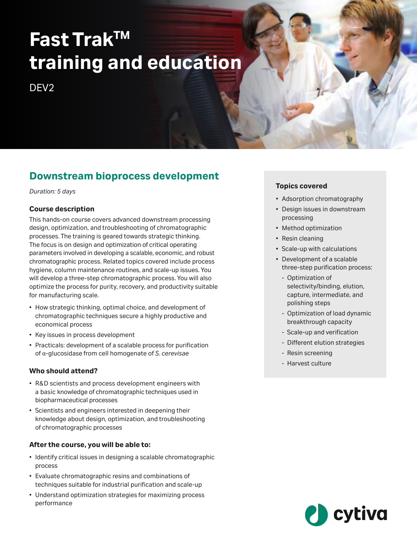# **Fast TrakTM training and education**

DF<sub>V2</sub>

# **Downstream bioprocess development**

*Duration: 5 days*

#### **Course description**

This hands-on course covers advanced downstream processing design, optimization, and troubleshooting of chromatographic processes. The training is geared towards strategic thinking. The focus is on design and optimization of critical operating parameters involved in developing a scalable, economic, and robust chromatographic process. Related topics covered include process hygiene, column maintenance routines, and scale-up issues. You will develop a three-step chromatographic process. You will also optimize the process for purity, recovery, and productivity suitable for manufacturing scale.

- How strategic thinking, optimal choice, and development of chromatographic techniques secure a highly productive and economical process
- Key issues in process development
- Practicals: development of a scalable process for purification of α-glucosidase from cell homogenate of *S. cerevisae*

#### **Who should attend?**

- R&D scientists and process development engineers with a basic knowledge of chromatographic techniques used in biopharmaceutical processes
- Scientists and engineers interested in deepening their knowledge about design, optimization, and troubleshooting of chromatographic processes

#### **After the course, you will be able to:**

- Identify critical issues in designing a scalable chromatographic process
- Evaluate chromatographic resins and combinations of techniques suitable for industrial purification and scale-up
- Understand optimization strategies for maximizing process performance

#### **Topics covered**

- Adsorption chromatography
- Design issues in downstream processing
- Method optimization
- Resin cleaning
- Scale-up with calculations
- Development of a scalable three-step purification process:
	- Optimization of selectivity/binding, elution, capture, intermediate, and polishing steps
	- Optimization of load dynamic breakthrough capacity
	- Scale-up and verification
	- Different elution strategies
	- Resin screening
	- Harvest culture

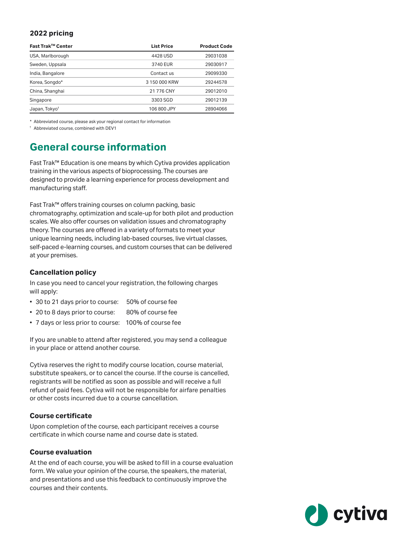#### **2022 pricing**

| Fast Trak™ Center         | <b>List Price</b> | <b>Product Code</b> |
|---------------------------|-------------------|---------------------|
| USA, Marlborough          | 4428 USD          | 29031038            |
| Sweden, Uppsala           | 3740 EUR          | 29030917            |
| India, Bangalore          | Contact us        | 29099330            |
| Korea, Songdo*            | 3 150 000 KRW     | 29244578            |
| China, Shanghai           | 21 776 CNY        | 29012010            |
| Singapore                 | 3303 SGD          | 29012139            |
| Japan, Tokyo <sup>t</sup> | 106 800 JPY       | 28904066            |

\* Abbreviated course, please ask your regional contact for information

† Abbreviated course, combined with DEV1

# **General course information**

Fast Trak™ Education is one means by which Cytiva provides application training in the various aspects of bioprocessing. The courses are designed to provide a learning experience for process development and manufacturing staff.

Fast Trak™ offers training courses on column packing, basic chromatography, optimization and scale-up for both pilot and production scales. We also offer courses on validation issues and chromatography theory. The courses are offered in a variety of formats to meet your unique learning needs, including lab-based courses, live virtual classes, self-paced e-learning courses, and custom courses that can be delivered at your premises.

#### **Cancellation policy**

In case you need to cancel your registration, the following charges will apply:

- 30 to 21 days prior to course: 50% of course fee
- 20 to 8 days prior to course: 80% of course fee
- 7 days or less prior to course: 100% of course fee

If you are unable to attend after registered, you may send a colleague in your place or attend another course.

Cytiva reserves the right to modify course location, course material, substitute speakers, or to cancel the course. If the course is cancelled, registrants will be notified as soon as possible and will receive a full refund of paid fees. Cytiva will not be responsible for airfare penalties or other costs incurred due to a course cancellation.

#### **Course certificate**

Upon completion of the course, each participant receives a course certificate in which course name and course date is stated.

#### **Course evaluation**

At the end of each course, you will be asked to fill in a course evaluation form. We value your opinion of the course, the speakers, the material, and presentations and use this feedback to continuously improve the courses and their contents.